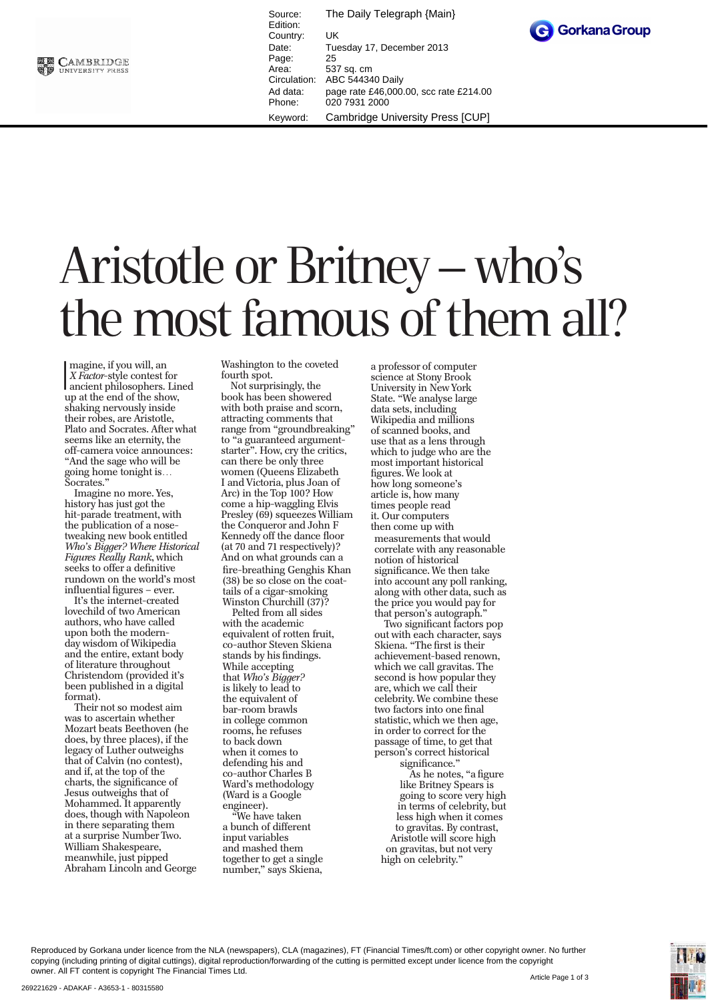

Source: The Daily Telegraph {Main} Edition: Country: UK Date: Tuesday 17, December 2013 Page: 25<br>Area: 53 Area: 537 sq. cm<br>Circulation: ABC 54434 ABC 544340 Daily Ad data: page rate £46,000.00, scc rate £214.00 Phone: 020 7931 2000 Keyword: Cambridge University Press [CUP]



## Aristotle or Britney – who's the most famous of them all?

Imagine, if you will, an<br>
X Factor-style contest for<br>
ancient philosophers. Lined<br>
un at the end of the show magine, if you will, an *X Factor*-style contest for up at the end of the show, shaking nervously inside their robes, are Aristotle, Plato and Socrates. After what seems like an eternity, the off-camera voice announces: "And the sage who will be going home tonight is… Socrates."

Imagine no more. Yes, history has just got the hit-parade treatment, with the publication of a nosetweaking new book entitled *Who's Bigger? Where Historical Figures Really Rank*, which seeks to offer a definitive rundown on the world's most influential figures – ever.

It's the internet-created lovechild of two American authors, who have called upon both the modernday wisdom of Wikipedia and the entire, extant body of literature throughout Christendom (provided it's been published in a digital format).

Their not so modest aim was to ascertain whether Mozart beats Beethoven (he does, by three places), if the legacy of Luther outweighs that of Calvin (no contest), and if, at the top of the charts, the significance of Jesus outweighs that of Mohammed. It apparently does, though with Napoleon in there separating them at a surprise Number Two. William Shakespeare, meanwhile, just pipped Abraham Lincoln and George Washington to the coveted fourth spot.

Not surprisingly, the book has been showered with both praise and scorn, attracting comments that range from "groundbreaking" to "a guaranteed argument starter". How, cry the critics, can there be only three women (Queens Elizabeth I and Victoria, plus Joan of Arc) in the Top 100? How come a hip-waggling Elvis Presley (69) squeezes William the Conqueror and John F Kennedy off the dance floor (at 70 and 71 respectively)? And on what grounds can a fire-breathing Genghis Khan (38) be so close on the coattails of a cigar-smoking Winston Churchill (37)?

Pelted from all sides with the academic equivalent of rotten fruit, co-author Steven Skiena stands by his findings. While accepting that *Who's Bigger?*  is likely to lead to the equivalent of bar-room brawls in college common rooms, he refuses to back down when it comes to defending his and co-author Charles B Ward's methodology (Ward is a Google engineer).

"We have taken a bunch of different input variables and mashed them together to get a single number," says Skiena,

a professor of computer science at Stony Brook University in New York State. "We analyse large data sets, including Wikipedia and millions of scanned books, and use that as a lens through which to judge who are the most important historical figures. We look at how long someone's article is, how many times people read it. Our computers then come up with measurements that would correlate with any reasonable notion of historical significance. We then take into account any poll ranking, along with other data, such as the price you would pay for that person's autograph.

Two significant factors pop out with each character, says Skiena. "The first is their achievement-based renown, which we call gravitas. The second is how popular they are, which we call their celebrity. We combine these two factors into one final statistic, which we then age, in order to correct for the passage of time, to get that person's correct historical significance."

As he notes, "a figure like Britney Spears is going to score very high in terms of celebrity, but less high when it comes to gravitas. By contrast, Aristotle will score high on gravitas, but not very high on celebrity."

Reproduced by Gorkana under licence from the NLA (newspapers), CLA (magazines), FT (Financial Times/ft.com) or other copyright owner. No further copying (including printing of digital cuttings), digital reproduction/forwarding of the cutting is permitted except under licence from the copyright owner. All FT content is copyright The Financial Times Ltd.

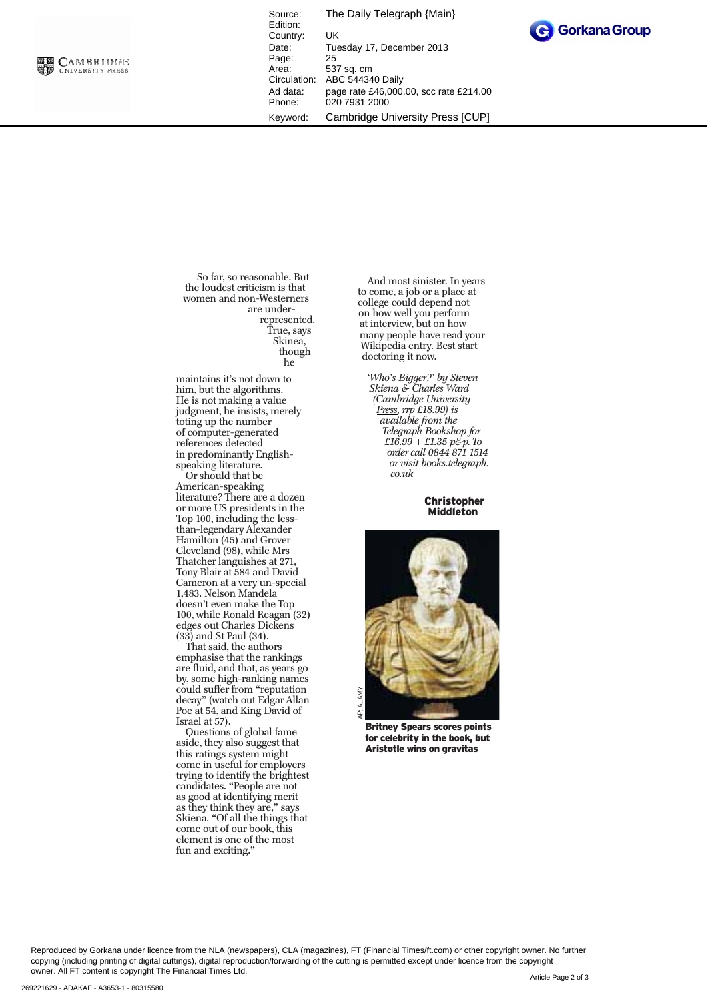

Source: The Daily Telegraph {Main} Edition: Country: UK<br>Date: Tue Tuesday 17, December 2013 Page: 25<br>Area: 53 Area: 537 sq. cm<br>Circulation: ABC 54434 ABC 544340 Daily Ad data: page rate £46,000.00, scc rate £214.00 Phone: 020 7931 2000 Keyword: Cambridge University Press [CUP]



So far, so reasonable. But the loudest criticism is that women and non-Westerners are underrepresented. True, says Skinea, though he

maintains it's not down to him, but the algorithms. He is not making a value judgment, he insists, merely toting up the number of computer-generated references detected in predominantly Englishspeaking literature.

Or should that be American-speaking literature? There are a dozen or more US presidents in the Top 100, including the lessthan-legendary Alexander Hamilton (45) and Grover Cleveland (98), while Mrs Thatcher languishes at 271, Tony Blair at 584 and David Cameron at a very un-special 1,483. Nelson Mandela doesn't even make the Top 100, while Ronald Reagan (32) edges out Charles Dickens (33) and St Paul (34).

That said, the authors emphasise that the rankings are fluid, and that, as years go by, some high-ranking names could suffer from "reputation decay" (watch out Edgar Allan Poe at 54, and King David of Israel at 57).

Questions of global fame aside, they also suggest that this ratings system might come in useful for employers trying to identify the brightest candidates. "People are not as good at identifying merit as they think they are," says Skiena. "Of all the things that come out of our book, this element is one of the most fun and exciting."

And most sinister. In years to come, a job or a place at college could depend not on how well you perform at interview, but on how many people have read your Wikipedia entry. Best start doctoring it now.

*'Who's Bigger?' by Steven Skiena & Charles Ward (Cambridge University Press, rrp £18.99) is available from the Telegraph Bookshop for £16.99 + £1.35 p&p. To order call 0844 871 1514 or visit books.telegraph. co.uk*

> Christopher Middleton



Britney Spears scores points for celebrity in the book, but Aristotle wins on gravitas

Reproduced by Gorkana under licence from the NLA (newspapers), CLA (magazines), FT (Financial Times/ft.com) or other copyright owner. No further copying (including printing of digital cuttings), digital reproduction/forwarding of the cutting is permitted except under licence from the copyright owner. All FT content is copyright The Financial Times Ltd.